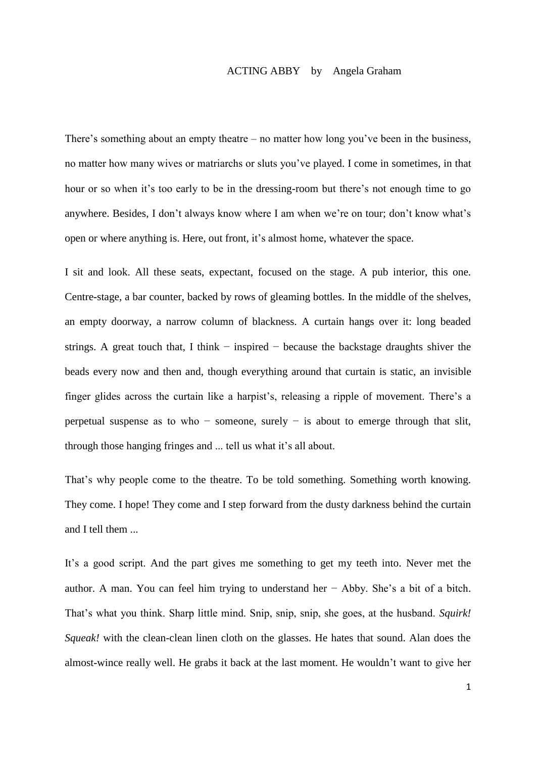## ACTING ABBY by Angela Graham

There's something about an empty theatre – no matter how long you've been in the business, no matter how many wives or matriarchs or sluts you've played. I come in sometimes, in that hour or so when it's too early to be in the dressing-room but there's not enough time to go anywhere. Besides, I don't always know where I am when we're on tour; don't know what's open or where anything is. Here, out front, it's almost home, whatever the space.

I sit and look. All these seats, expectant, focused on the stage. A pub interior, this one. Centre-stage, a bar counter, backed by rows of gleaming bottles. In the middle of the shelves, an empty doorway, a narrow column of blackness. A curtain hangs over it: long beaded strings. A great touch that, I think – inspired – because the backstage draughts shiver the beads every now and then and, though everything around that curtain is static, an invisible finger glides across the curtain like a harpist's, releasing a ripple of movement. There's a perpetual suspense as to who – someone, surely – is about to emerge through that slit, through those hanging fringes and ... tell us what it's all about.

That's why people come to the theatre. To be told something. Something worth knowing. They come. I hope! They come and I step forward from the dusty darkness behind the curtain and I tell them ...

It's a good script. And the part gives me something to get my teeth into. Never met the author. A man. You can feel him trying to understand her − Abby. She's a bit of a bitch. That's what you think. Sharp little mind. Snip, snip, snip, she goes, at the husband. *Squirk! Squeak!* with the clean-clean linen cloth on the glasses. He hates that sound. Alan does the almost-wince really well. He grabs it back at the last moment. He wouldn't want to give her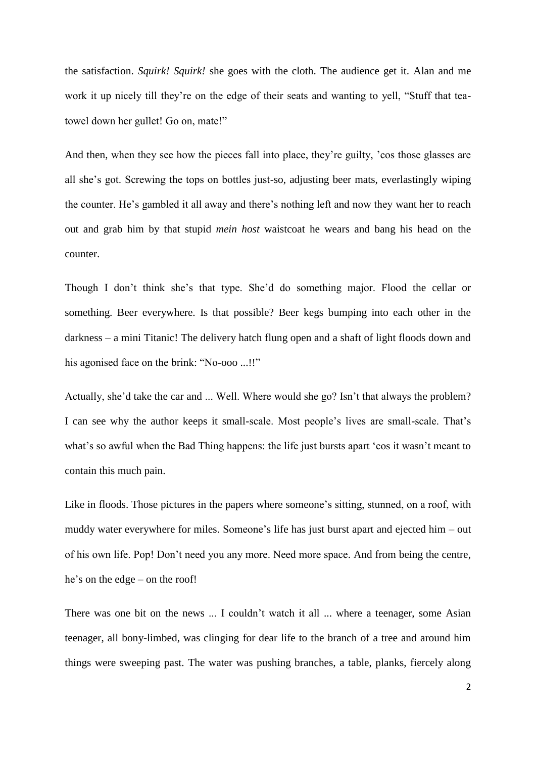the satisfaction. *Squirk! Squirk!* she goes with the cloth. The audience get it. Alan and me work it up nicely till they're on the edge of their seats and wanting to yell, "Stuff that teatowel down her gullet! Go on, mate!"

And then, when they see how the pieces fall into place, they're guilty, 'cos those glasses are all she's got. Screwing the tops on bottles just-so, adjusting beer mats, everlastingly wiping the counter. He's gambled it all away and there's nothing left and now they want her to reach out and grab him by that stupid *mein host* waistcoat he wears and bang his head on the counter.

Though I don't think she's that type. She'd do something major. Flood the cellar or something. Beer everywhere. Is that possible? Beer kegs bumping into each other in the darkness – a mini Titanic! The delivery hatch flung open and a shaft of light floods down and his agonised face on the brink: "No-ooo ...!!"

Actually, she'd take the car and ... Well. Where would she go? Isn't that always the problem? I can see why the author keeps it small-scale. Most people's lives are small-scale. That's what's so awful when the Bad Thing happens: the life just bursts apart 'cos it wasn't meant to contain this much pain.

Like in floods. Those pictures in the papers where someone's sitting, stunned, on a roof, with muddy water everywhere for miles. Someone's life has just burst apart and ejected him – out of his own life. Pop! Don't need you any more. Need more space. And from being the centre, he's on the edge – on the roof!

There was one bit on the news ... I couldn't watch it all ... where a teenager, some Asian teenager, all bony-limbed, was clinging for dear life to the branch of a tree and around him things were sweeping past. The water was pushing branches, a table, planks, fiercely along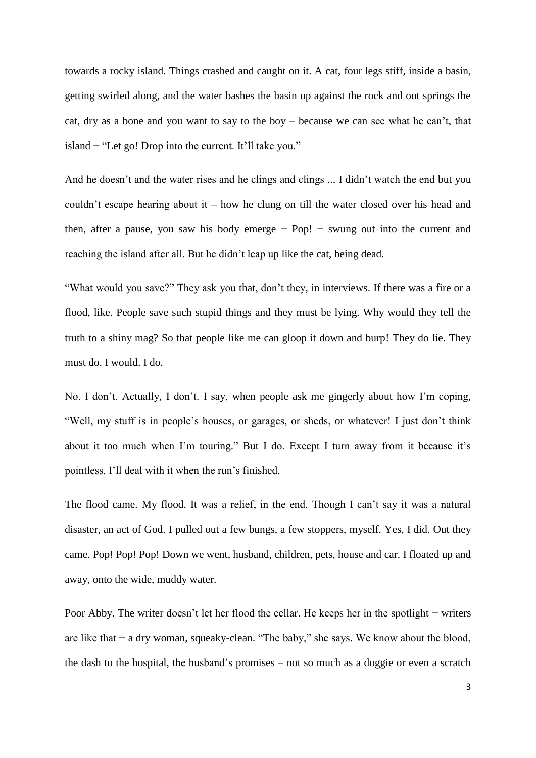towards a rocky island. Things crashed and caught on it. A cat, four legs stiff, inside a basin, getting swirled along, and the water bashes the basin up against the rock and out springs the cat, dry as a bone and you want to say to the boy – because we can see what he can't, that island − "Let go! Drop into the current. It'll take you."

And he doesn't and the water rises and he clings and clings ... I didn't watch the end but you couldn't escape hearing about it – how he clung on till the water closed over his head and then, after a pause, you saw his body emerge  $-$  Pop!  $-$  swung out into the current and reaching the island after all. But he didn't leap up like the cat, being dead.

"What would you save?" They ask you that, don't they, in interviews. If there was a fire or a flood, like. People save such stupid things and they must be lying. Why would they tell the truth to a shiny mag? So that people like me can gloop it down and burp! They do lie. They must do. I would. I do.

No. I don't. Actually, I don't. I say, when people ask me gingerly about how I'm coping, "Well, my stuff is in people's houses, or garages, or sheds, or whatever! I just don't think about it too much when I'm touring." But I do. Except I turn away from it because it's pointless. I'll deal with it when the run's finished.

The flood came. My flood. It was a relief, in the end. Though I can't say it was a natural disaster, an act of God. I pulled out a few bungs, a few stoppers, myself. Yes, I did. Out they came. Pop! Pop! Pop! Down we went, husband, children, pets, house and car. I floated up and away, onto the wide, muddy water.

Poor Abby. The writer doesn't let her flood the cellar. He keeps her in the spotlight − writers are like that − a dry woman, squeaky-clean. "The baby," she says. We know about the blood, the dash to the hospital, the husband's promises – not so much as a doggie or even a scratch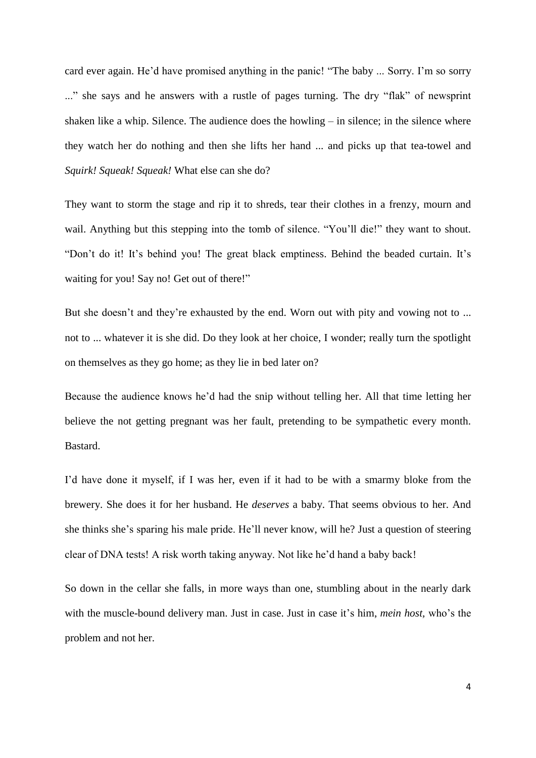card ever again. He'd have promised anything in the panic! "The baby ... Sorry. I'm so sorry ..." she says and he answers with a rustle of pages turning. The dry "flak" of newsprint shaken like a whip. Silence. The audience does the howling – in silence; in the silence where they watch her do nothing and then she lifts her hand ... and picks up that tea-towel and *Squirk! Squeak! Squeak!* What else can she do?

They want to storm the stage and rip it to shreds, tear their clothes in a frenzy, mourn and wail. Anything but this stepping into the tomb of silence. "You'll die!" they want to shout. "Don't do it! It's behind you! The great black emptiness. Behind the beaded curtain. It's waiting for you! Say no! Get out of there!"

But she doesn't and they're exhausted by the end. Worn out with pity and vowing not to ... not to ... whatever it is she did. Do they look at her choice, I wonder; really turn the spotlight on themselves as they go home; as they lie in bed later on?

Because the audience knows he'd had the snip without telling her. All that time letting her believe the not getting pregnant was her fault, pretending to be sympathetic every month. Bastard.

I'd have done it myself, if I was her, even if it had to be with a smarmy bloke from the brewery. She does it for her husband. He *deserves* a baby. That seems obvious to her. And she thinks she's sparing his male pride. He'll never know, will he? Just a question of steering clear of DNA tests! A risk worth taking anyway. Not like he'd hand a baby back!

So down in the cellar she falls, in more ways than one, stumbling about in the nearly dark with the muscle-bound delivery man. Just in case. Just in case it's him, *mein host,* who's the problem and not her.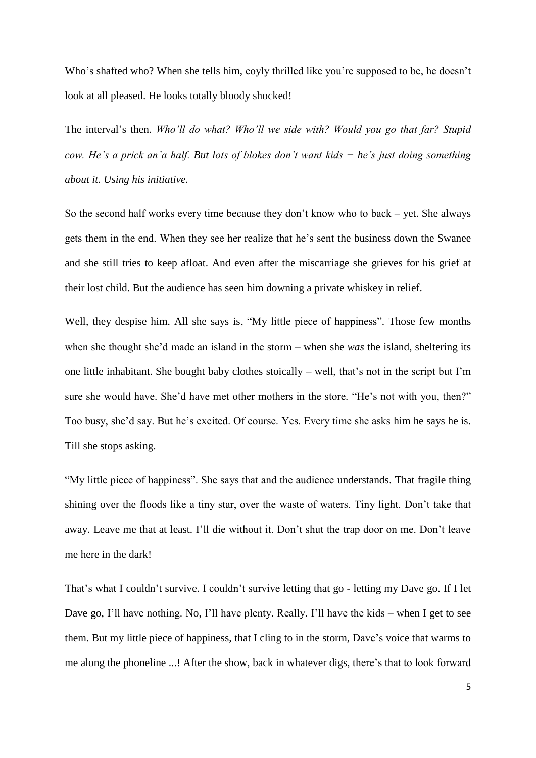Who's shafted who? When she tells him, coyly thrilled like you're supposed to be, he doesn't look at all pleased. He looks totally bloody shocked!

The interval's then. *Who'll do what? Who'll we side with? Would you go that far? Stupid cow. He's a prick an'a half. But lots of blokes don't want kids − he's just doing something about it. Using his initiative.*

So the second half works every time because they don't know who to back – yet. She always gets them in the end. When they see her realize that he's sent the business down the Swanee and she still tries to keep afloat. And even after the miscarriage she grieves for his grief at their lost child. But the audience has seen him downing a private whiskey in relief.

Well, they despise him. All she says is, "My little piece of happiness". Those few months when she thought she'd made an island in the storm – when she *was* the island, sheltering its one little inhabitant. She bought baby clothes stoically – well, that's not in the script but I'm sure she would have. She'd have met other mothers in the store. "He's not with you, then?" Too busy, she'd say. But he's excited. Of course. Yes. Every time she asks him he says he is. Till she stops asking.

"My little piece of happiness". She says that and the audience understands. That fragile thing shining over the floods like a tiny star, over the waste of waters. Tiny light. Don't take that away. Leave me that at least. I'll die without it. Don't shut the trap door on me. Don't leave me here in the dark!

That's what I couldn't survive. I couldn't survive letting that go - letting my Dave go. If I let Dave go, I'll have nothing. No, I'll have plenty. Really. I'll have the kids – when I get to see them. But my little piece of happiness, that I cling to in the storm, Dave's voice that warms to me along the phoneline ...! After the show, back in whatever digs, there's that to look forward